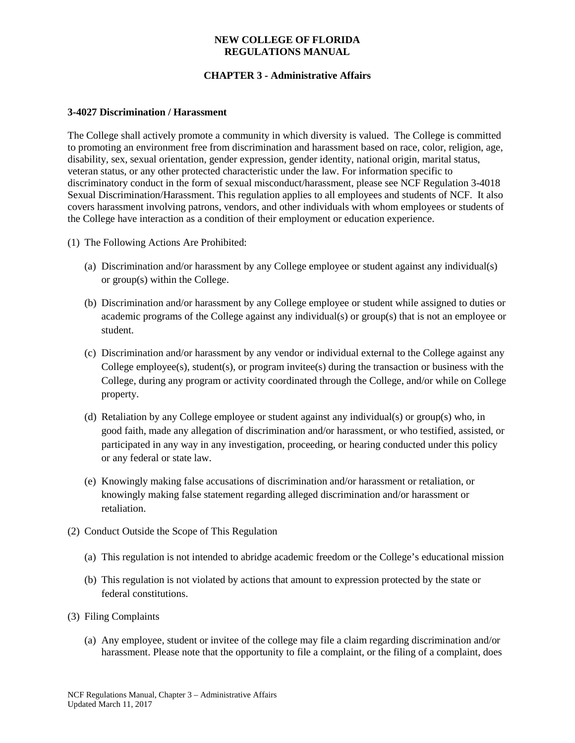### **NEW COLLEGE OF FLORIDA REGULATIONS MANUAL**

# **CHAPTER 3 - Administrative Affairs**

#### **3-4027 Discrimination / Harassment**

The College shall actively promote a community in which diversity is valued. The College is committed to promoting an environment free from discrimination and harassment based on race, color, religion, age, disability, sex, sexual orientation, gender expression, gender identity, national origin, marital status, veteran status, or any other protected characteristic under the law. For information specific to discriminatory conduct in the form of sexual misconduct/harassment, please see NCF Regulation 3-4018 Sexual Discrimination/Harassment. This regulation applies to all employees and students of NCF. It also covers harassment involving patrons, vendors, and other individuals with whom employees or students of the College have interaction as a condition of their employment or education experience.

- (1) The Following Actions Are Prohibited:
	- (a) Discrimination and/or harassment by any College employee or student against any individual(s) or group(s) within the College.
	- (b) Discrimination and/or harassment by any College employee or student while assigned to duties or academic programs of the College against any individual(s) or group(s) that is not an employee or student.
	- (c) Discrimination and/or harassment by any vendor or individual external to the College against any College employee(s), student(s), or program invitee(s) during the transaction or business with the College, during any program or activity coordinated through the College, and/or while on College property.
	- (d) Retaliation by any College employee or student against any individual(s) or group(s) who, in good faith, made any allegation of discrimination and/or harassment, or who testified, assisted, or participated in any way in any investigation, proceeding, or hearing conducted under this policy or any federal or state law.
	- (e) Knowingly making false accusations of discrimination and/or harassment or retaliation, or knowingly making false statement regarding alleged discrimination and/or harassment or retaliation.
- (2) Conduct Outside the Scope of This Regulation
	- (a) This regulation is not intended to abridge academic freedom or the College's educational mission
	- (b) This regulation is not violated by actions that amount to expression protected by the state or federal constitutions.
- (3) Filing Complaints
	- (a) Any employee, student or invitee of the college may file a claim regarding discrimination and/or harassment. Please note that the opportunity to file a complaint, or the filing of a complaint, does